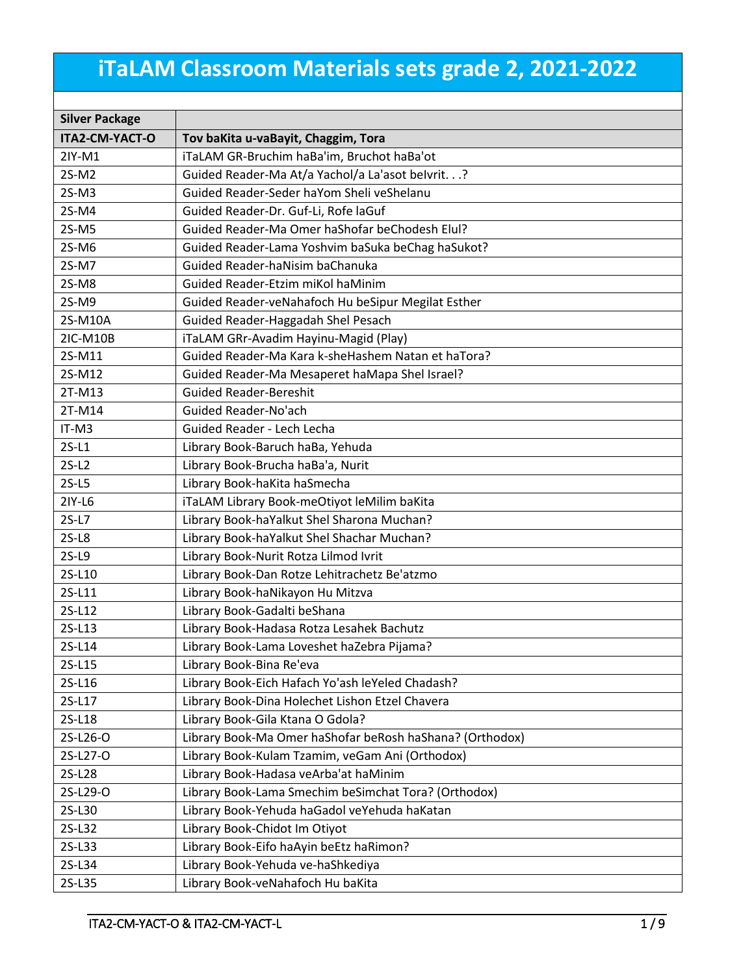## **iTaLAM Classroom Materials sets grade 2, 2021-2022**

| <b>Silver Package</b> |                                                          |  |
|-----------------------|----------------------------------------------------------|--|
| <b>ITA2-CM-YACT-O</b> | Tov baKita u-vaBayit, Chaggim, Tora                      |  |
| 2IY-M1                | iTaLAM GR-Bruchim haBa'im, Bruchot haBa'ot               |  |
| 2S-M2                 | Guided Reader-Ma At/a Yachol/a La'asot belvrit.?         |  |
| $2S-M3$               | Guided Reader-Seder haYom Sheli veShelanu                |  |
| 2S-M4                 | Guided Reader-Dr. Guf-Li, Rofe laGuf                     |  |
| $2S-M5$               | Guided Reader-Ma Omer haShofar beChodesh Elul?           |  |
| 2S-M6                 | Guided Reader-Lama Yoshvim baSuka beChag haSukot?        |  |
| 2S-M7                 | Guided Reader-haNisim baChanuka                          |  |
| 2S-M8                 | Guided Reader-Etzim miKol haMinim                        |  |
| 2S-M9                 | Guided Reader-veNahafoch Hu beSipur Megilat Esther       |  |
| 2S-M10A               | Guided Reader-Haggadah Shel Pesach                       |  |
| 2IC-M10B              | iTaLAM GRr-Avadim Hayinu-Magid (Play)                    |  |
| 2S-M11                | Guided Reader-Ma Kara k-sheHashem Natan et haTora?       |  |
| 2S-M12                | Guided Reader-Ma Mesaperet haMapa Shel Israel?           |  |
| 2T-M13                | <b>Guided Reader-Bereshit</b>                            |  |
| 2T-M14                | Guided Reader-No'ach                                     |  |
| IT-M3                 | Guided Reader - Lech Lecha                               |  |
| $2S-L1$               | Library Book-Baruch haBa, Yehuda                         |  |
| $2S-L2$               | Library Book-Brucha haBa'a, Nurit                        |  |
| $2S-L5$               | Library Book-haKita haSmecha                             |  |
| 2IY-L6                | iTaLAM Library Book-meOtiyot leMilim baKita              |  |
| $2S-L7$               | Library Book-haYalkut Shel Sharona Muchan?               |  |
| $2S-L8$               | Library Book-haYalkut Shel Shachar Muchan?               |  |
| $2S-L9$               | Library Book-Nurit Rotza Lilmod Ivrit                    |  |
| 2S-L10                | Library Book-Dan Rotze Lehitrachetz Be'atzmo             |  |
| 2S-L11                | Library Book-haNikayon Hu Mitzva                         |  |
| 2S-L12                | Library Book-Gadalti beShana                             |  |
| 2S-L13                | Library Book-Hadasa Rotza Lesahek Bachutz                |  |
| 2S-L14                | Library Book-Lama Loveshet haZebra Pijama?               |  |
| 2S-L15                | Library Book-Bina Re'eva                                 |  |
| 2S-L16                | Library Book-Eich Hafach Yo'ash leYeled Chadash?         |  |
| 2S-L17                | Library Book-Dina Holechet Lishon Etzel Chavera          |  |
| 2S-L18                | Library Book-Gila Ktana O Gdola?                         |  |
| 2S-L26-O              | Library Book-Ma Omer haShofar beRosh haShana? (Orthodox) |  |
| 2S-L27-O              | Library Book-Kulam Tzamim, veGam Ani (Orthodox)          |  |
| 2S-L28                | Library Book-Hadasa veArba'at haMinim                    |  |
| 2S-L29-O              | Library Book-Lama Smechim beSimchat Tora? (Orthodox)     |  |
| 2S-L30                | Library Book-Yehuda haGadol veYehuda haKatan             |  |
| 2S-L32                | Library Book-Chidot Im Otiyot                            |  |
| 2S-L33                | Library Book-Eifo haAyin beEtz haRimon?                  |  |
| 2S-L34                | Library Book-Yehuda ve-haShkediya                        |  |
| 2S-L35                | Library Book-veNahafoch Hu baKita                        |  |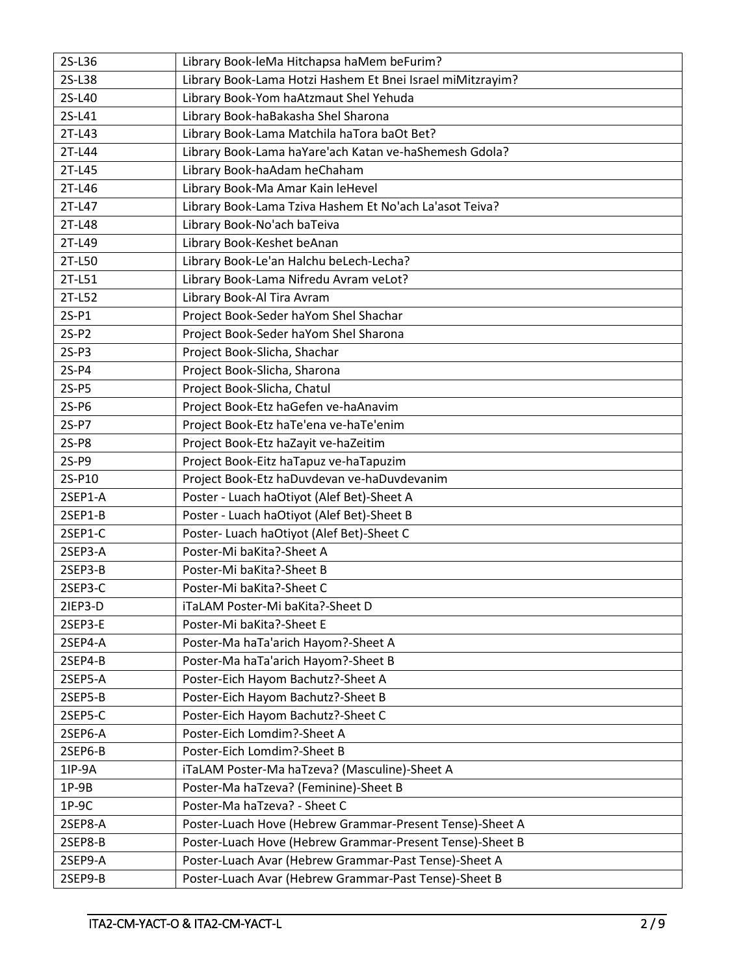| 2S-L36  | Library Book-leMa Hitchapsa haMem beFurim?                 |  |  |
|---------|------------------------------------------------------------|--|--|
| 2S-L38  | Library Book-Lama Hotzi Hashem Et Bnei Israel miMitzrayim? |  |  |
| 2S-L40  | Library Book-Yom haAtzmaut Shel Yehuda                     |  |  |
| 2S-L41  | Library Book-haBakasha Shel Sharona                        |  |  |
| 2T-L43  | Library Book-Lama Matchila haTora baOt Bet?                |  |  |
| 2T-L44  | Library Book-Lama haYare'ach Katan ve-haShemesh Gdola?     |  |  |
| 2T-L45  | Library Book-haAdam heChaham                               |  |  |
| 2T-L46  | Library Book-Ma Amar Kain leHevel                          |  |  |
| 2T-L47  | Library Book-Lama Tziva Hashem Et No'ach La'asot Teiva?    |  |  |
| 2T-L48  | Library Book-No'ach baTeiva                                |  |  |
| 2T-L49  | Library Book-Keshet beAnan                                 |  |  |
| 2T-L50  | Library Book-Le'an Halchu beLech-Lecha?                    |  |  |
| 2T-L51  | Library Book-Lama Nifredu Avram veLot?                     |  |  |
| 2T-L52  | Library Book-Al Tira Avram                                 |  |  |
| $2S-P1$ | Project Book-Seder haYom Shel Shachar                      |  |  |
| $2S-P2$ | Project Book-Seder haYom Shel Sharona                      |  |  |
| $2S-P3$ | Project Book-Slicha, Shachar                               |  |  |
| $2S-P4$ | Project Book-Slicha, Sharona                               |  |  |
| $2S-P5$ | Project Book-Slicha, Chatul                                |  |  |
| 2S-P6   | Project Book-Etz haGefen ve-haAnavim                       |  |  |
| 2S-P7   | Project Book-Etz haTe'ena ve-haTe'enim                     |  |  |
| 2S-P8   | Project Book-Etz haZayit ve-haZeitim                       |  |  |
| 2S-P9   | Project Book-Eitz haTapuz ve-haTapuzim                     |  |  |
| 2S-P10  | Project Book-Etz haDuvdevan ve-haDuvdevanim                |  |  |
| 2SEP1-A | Poster - Luach haOtiyot (Alef Bet)-Sheet A                 |  |  |
| 2SEP1-B | Poster - Luach haOtiyot (Alef Bet)-Sheet B                 |  |  |
| 2SEP1-C | Poster- Luach haOtiyot (Alef Bet)-Sheet C                  |  |  |
| 2SEP3-A | Poster-Mi baKita?-Sheet A                                  |  |  |
| 2SEP3-B | Poster-Mi baKita?-Sheet B                                  |  |  |
| 2SEP3-C | Poster-Mi baKita?-Sheet C                                  |  |  |
| 2IEP3-D | iTaLAM Poster-Mi baKita?-Sheet D                           |  |  |
| 2SEP3-E | Poster-Mi baKita?-Sheet E                                  |  |  |
| 2SEP4-A | Poster-Ma haTa'arich Hayom?-Sheet A                        |  |  |
| 2SEP4-B | Poster-Ma haTa'arich Hayom?-Sheet B                        |  |  |
| 2SEP5-A | Poster-Eich Hayom Bachutz?-Sheet A                         |  |  |
| 2SEP5-B | Poster-Eich Hayom Bachutz?-Sheet B                         |  |  |
| 2SEP5-C | Poster-Eich Hayom Bachutz?-Sheet C                         |  |  |
| 2SEP6-A | Poster-Eich Lomdim?-Sheet A                                |  |  |
| 2SEP6-B | Poster-Eich Lomdim?-Sheet B                                |  |  |
| 1IP-9A  | iTaLAM Poster-Ma haTzeva? (Masculine)-Sheet A              |  |  |
| $1P-9B$ | Poster-Ma haTzeva? (Feminine)-Sheet B                      |  |  |
| $1P-9C$ | Poster-Ma haTzeva? - Sheet C                               |  |  |
| 2SEP8-A | Poster-Luach Hove (Hebrew Grammar-Present Tense)-Sheet A   |  |  |
| 2SEP8-B | Poster-Luach Hove (Hebrew Grammar-Present Tense)-Sheet B   |  |  |
| 2SEP9-A | Poster-Luach Avar (Hebrew Grammar-Past Tense)-Sheet A      |  |  |
| 2SEP9-B | Poster-Luach Avar (Hebrew Grammar-Past Tense)-Sheet B      |  |  |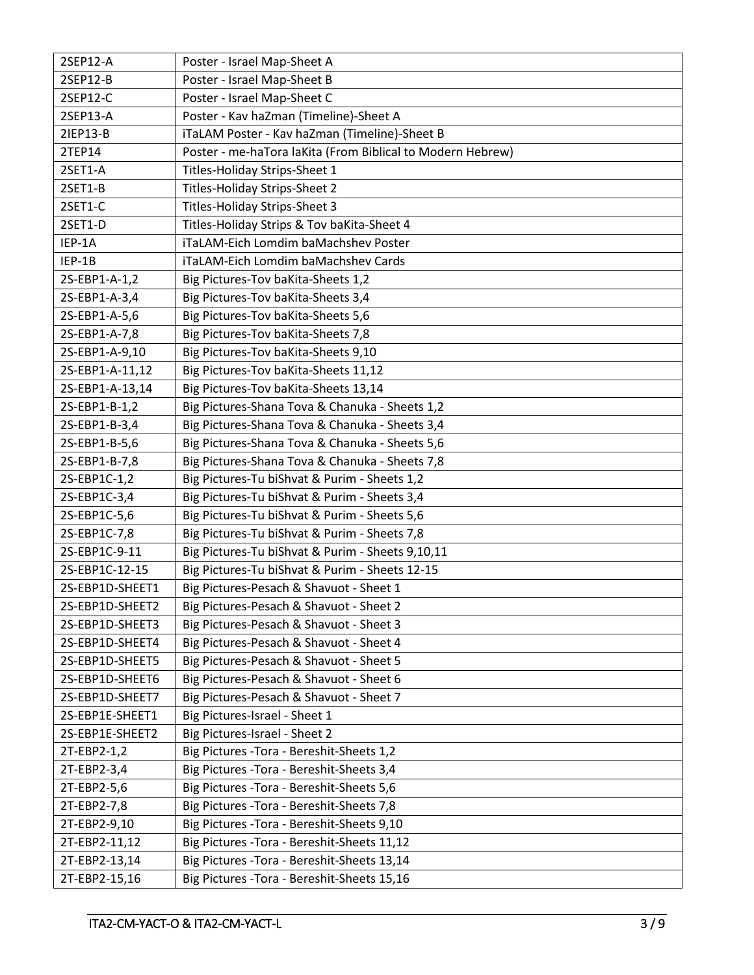| 2SEP12-A        | Poster - Israel Map-Sheet A                                |
|-----------------|------------------------------------------------------------|
| 2SEP12-B        | Poster - Israel Map-Sheet B                                |
| 2SEP12-C        | Poster - Israel Map-Sheet C                                |
| 2SEP13-A        | Poster - Kav haZman (Timeline)-Sheet A                     |
| 21EP13-B        | iTaLAM Poster - Kav haZman (Timeline)-Sheet B              |
| 2TEP14          | Poster - me-haTora laKita (From Biblical to Modern Hebrew) |
| 2SET1-A         | Titles-Holiday Strips-Sheet 1                              |
| 2SET1-B         | Titles-Holiday Strips-Sheet 2                              |
| 2SET1-C         | Titles-Holiday Strips-Sheet 3                              |
| 2SET1-D         | Titles-Holiday Strips & Tov baKita-Sheet 4                 |
| IEP-1A          | iTaLAM-Eich Lomdim baMachshev Poster                       |
| IEP-1B          | iTaLAM-Eich Lomdim baMachshev Cards                        |
| 2S-EBP1-A-1,2   | Big Pictures-Tov baKita-Sheets 1,2                         |
| 2S-EBP1-A-3,4   | Big Pictures-Tov baKita-Sheets 3,4                         |
| 2S-EBP1-A-5,6   | Big Pictures-Tov baKita-Sheets 5,6                         |
| 2S-EBP1-A-7,8   | Big Pictures-Tov baKita-Sheets 7,8                         |
| 2S-EBP1-A-9,10  | Big Pictures-Tov baKita-Sheets 9,10                        |
| 2S-EBP1-A-11,12 | Big Pictures-Tov baKita-Sheets 11,12                       |
| 2S-EBP1-A-13,14 | Big Pictures-Tov baKita-Sheets 13,14                       |
| 2S-EBP1-B-1,2   | Big Pictures-Shana Tova & Chanuka - Sheets 1,2             |
| 2S-EBP1-B-3,4   | Big Pictures-Shana Tova & Chanuka - Sheets 3,4             |
| 2S-EBP1-B-5,6   | Big Pictures-Shana Tova & Chanuka - Sheets 5,6             |
| 2S-EBP1-B-7,8   | Big Pictures-Shana Tova & Chanuka - Sheets 7,8             |
| 2S-EBP1C-1,2    | Big Pictures-Tu biShvat & Purim - Sheets 1,2               |
| 2S-EBP1C-3,4    | Big Pictures-Tu biShvat & Purim - Sheets 3,4               |
| 2S-EBP1C-5,6    | Big Pictures-Tu biShvat & Purim - Sheets 5,6               |
| 2S-EBP1C-7,8    | Big Pictures-Tu biShvat & Purim - Sheets 7,8               |
| 2S-EBP1C-9-11   | Big Pictures-Tu biShvat & Purim - Sheets 9,10,11           |
| 2S-EBP1C-12-15  | Big Pictures-Tu biShvat & Purim - Sheets 12-15             |
| 2S-EBP1D-SHEET1 | Big Pictures-Pesach & Shavuot - Sheet 1                    |
| 2S-EBP1D-SHEET2 | Big Pictures-Pesach & Shavuot - Sheet 2                    |
| 2S-EBP1D-SHEET3 | Big Pictures-Pesach & Shavuot - Sheet 3                    |
| 2S-EBP1D-SHEET4 | Big Pictures-Pesach & Shavuot - Sheet 4                    |
| 2S-EBP1D-SHEET5 | Big Pictures-Pesach & Shavuot - Sheet 5                    |
| 2S-EBP1D-SHEET6 | Big Pictures-Pesach & Shavuot - Sheet 6                    |
| 2S-EBP1D-SHEET7 | Big Pictures-Pesach & Shavuot - Sheet 7                    |
| 2S-EBP1E-SHEET1 | Big Pictures-Israel - Sheet 1                              |
| 2S-EBP1E-SHEET2 | Big Pictures-Israel - Sheet 2                              |
| 2T-EBP2-1,2     | Big Pictures - Tora - Bereshit-Sheets 1,2                  |
| 2T-EBP2-3,4     | Big Pictures - Tora - Bereshit-Sheets 3,4                  |
| 2T-EBP2-5,6     | Big Pictures - Tora - Bereshit-Sheets 5,6                  |
| 2T-EBP2-7,8     | Big Pictures - Tora - Bereshit-Sheets 7,8                  |
| 2T-EBP2-9,10    | Big Pictures - Tora - Bereshit-Sheets 9,10                 |
| 2T-EBP2-11,12   | Big Pictures - Tora - Bereshit-Sheets 11,12                |
| 2T-EBP2-13,14   | Big Pictures - Tora - Bereshit-Sheets 13,14                |
| 2T-EBP2-15,16   | Big Pictures - Tora - Bereshit-Sheets 15,16                |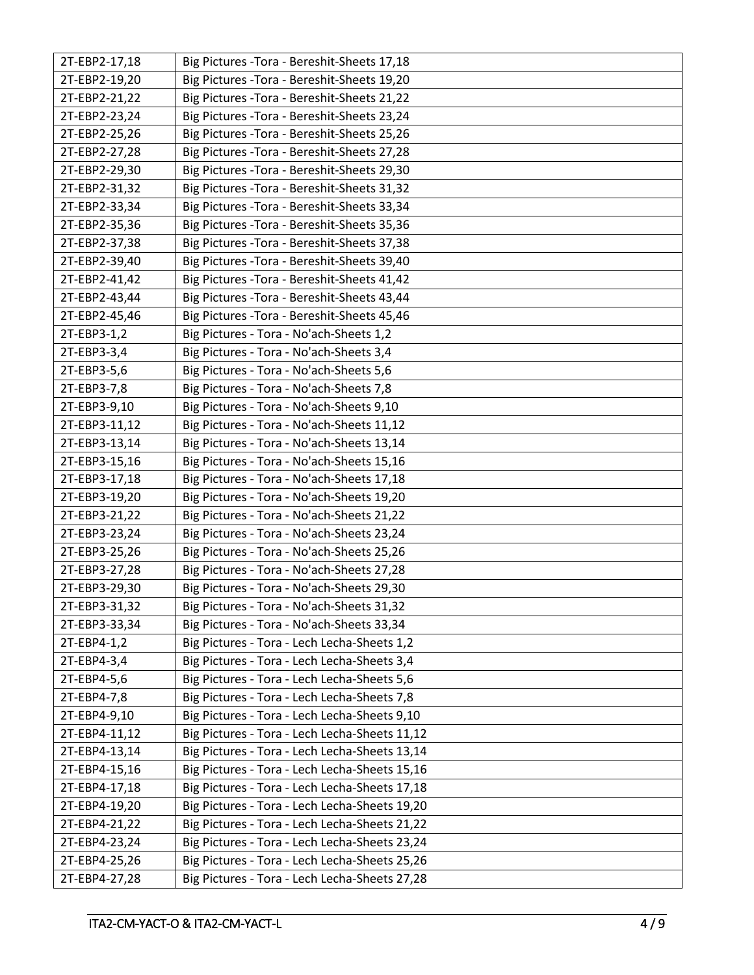| 2T-EBP2-17,18 | Big Pictures - Tora - Bereshit-Sheets 17,18   |
|---------------|-----------------------------------------------|
| 2T-EBP2-19,20 | Big Pictures - Tora - Bereshit-Sheets 19,20   |
| 2T-EBP2-21,22 | Big Pictures - Tora - Bereshit-Sheets 21,22   |
| 2T-EBP2-23,24 | Big Pictures - Tora - Bereshit-Sheets 23,24   |
| 2T-EBP2-25,26 | Big Pictures - Tora - Bereshit-Sheets 25,26   |
| 2T-EBP2-27,28 | Big Pictures - Tora - Bereshit-Sheets 27,28   |
| 2T-EBP2-29,30 | Big Pictures - Tora - Bereshit-Sheets 29,30   |
| 2T-EBP2-31,32 | Big Pictures - Tora - Bereshit-Sheets 31,32   |
| 2T-EBP2-33,34 | Big Pictures - Tora - Bereshit-Sheets 33,34   |
| 2T-EBP2-35,36 | Big Pictures - Tora - Bereshit-Sheets 35,36   |
| 2T-EBP2-37,38 | Big Pictures - Tora - Bereshit-Sheets 37,38   |
| 2T-EBP2-39,40 | Big Pictures - Tora - Bereshit-Sheets 39,40   |
| 2T-EBP2-41,42 | Big Pictures - Tora - Bereshit-Sheets 41,42   |
| 2T-EBP2-43,44 | Big Pictures - Tora - Bereshit-Sheets 43,44   |
| 2T-EBP2-45,46 | Big Pictures - Tora - Bereshit-Sheets 45,46   |
| 2T-EBP3-1,2   | Big Pictures - Tora - No'ach-Sheets 1,2       |
| 2T-EBP3-3,4   | Big Pictures - Tora - No'ach-Sheets 3,4       |
| 2T-EBP3-5,6   | Big Pictures - Tora - No'ach-Sheets 5,6       |
| 2T-EBP3-7,8   | Big Pictures - Tora - No'ach-Sheets 7,8       |
| 2T-EBP3-9,10  | Big Pictures - Tora - No'ach-Sheets 9,10      |
| 2T-EBP3-11,12 | Big Pictures - Tora - No'ach-Sheets 11,12     |
| 2T-EBP3-13,14 | Big Pictures - Tora - No'ach-Sheets 13,14     |
| 2T-EBP3-15,16 | Big Pictures - Tora - No'ach-Sheets 15,16     |
| 2T-EBP3-17,18 | Big Pictures - Tora - No'ach-Sheets 17,18     |
| 2T-EBP3-19,20 | Big Pictures - Tora - No'ach-Sheets 19,20     |
| 2T-EBP3-21,22 | Big Pictures - Tora - No'ach-Sheets 21,22     |
| 2T-EBP3-23,24 | Big Pictures - Tora - No'ach-Sheets 23,24     |
| 2T-EBP3-25,26 | Big Pictures - Tora - No'ach-Sheets 25,26     |
| 2T-EBP3-27,28 | Big Pictures - Tora - No'ach-Sheets 27,28     |
| 2T-EBP3-29,30 | Big Pictures - Tora - No'ach-Sheets 29,30     |
| 2T-EBP3-31,32 | Big Pictures - Tora - No'ach-Sheets 31,32     |
| 2T-EBP3-33,34 | Big Pictures - Tora - No'ach-Sheets 33,34     |
| 2T-EBP4-1,2   | Big Pictures - Tora - Lech Lecha-Sheets 1,2   |
| 2T-EBP4-3,4   | Big Pictures - Tora - Lech Lecha-Sheets 3,4   |
| 2T-EBP4-5,6   | Big Pictures - Tora - Lech Lecha-Sheets 5,6   |
| 2T-EBP4-7,8   | Big Pictures - Tora - Lech Lecha-Sheets 7,8   |
| 2T-EBP4-9,10  | Big Pictures - Tora - Lech Lecha-Sheets 9,10  |
| 2T-EBP4-11,12 | Big Pictures - Tora - Lech Lecha-Sheets 11,12 |
| 2T-EBP4-13,14 | Big Pictures - Tora - Lech Lecha-Sheets 13,14 |
| 2T-EBP4-15,16 | Big Pictures - Tora - Lech Lecha-Sheets 15,16 |
| 2T-EBP4-17,18 | Big Pictures - Tora - Lech Lecha-Sheets 17,18 |
| 2T-EBP4-19,20 | Big Pictures - Tora - Lech Lecha-Sheets 19,20 |
| 2T-EBP4-21,22 | Big Pictures - Tora - Lech Lecha-Sheets 21,22 |
| 2T-EBP4-23,24 | Big Pictures - Tora - Lech Lecha-Sheets 23,24 |
| 2T-EBP4-25,26 | Big Pictures - Tora - Lech Lecha-Sheets 25,26 |
| 2T-EBP4-27,28 | Big Pictures - Tora - Lech Lecha-Sheets 27,28 |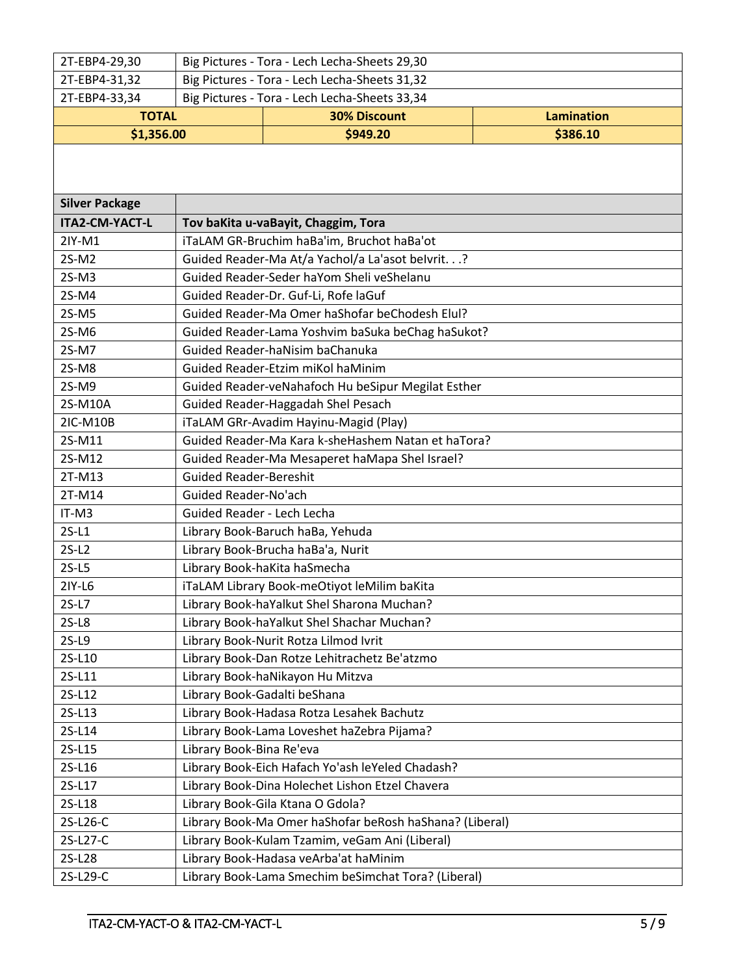| 2T-EBP4-29,30                                                  | Big Pictures - Tora - Lech Lecha-Sheets 29,30           |                                                     |                   |  |
|----------------------------------------------------------------|---------------------------------------------------------|-----------------------------------------------------|-------------------|--|
| 2T-EBP4-31,32                                                  | Big Pictures - Tora - Lech Lecha-Sheets 31,32           |                                                     |                   |  |
| Big Pictures - Tora - Lech Lecha-Sheets 33,34<br>2T-EBP4-33,34 |                                                         |                                                     |                   |  |
| <b>TOTAL</b>                                                   |                                                         | <b>30% Discount</b>                                 | <b>Lamination</b> |  |
| \$1,356.00                                                     |                                                         | \$949.20                                            | \$386.10          |  |
|                                                                |                                                         |                                                     |                   |  |
|                                                                |                                                         |                                                     |                   |  |
| <b>Silver Package</b>                                          |                                                         |                                                     |                   |  |
| ITA2-CM-YACT-L                                                 |                                                         | Tov baKita u-vaBayit, Chaggim, Tora                 |                   |  |
| 2IY-M1                                                         |                                                         | iTaLAM GR-Bruchim haBa'im, Bruchot haBa'ot          |                   |  |
| 2S-M2                                                          |                                                         | Guided Reader-Ma At/a Yachol/a La'asot belvrit.?    |                   |  |
| $2S-M3$                                                        |                                                         | Guided Reader-Seder haYom Sheli veShelanu           |                   |  |
| 2S-M4                                                          |                                                         | Guided Reader-Dr. Guf-Li, Rofe laGuf                |                   |  |
| 2S-M5                                                          |                                                         | Guided Reader-Ma Omer haShofar beChodesh Elul?      |                   |  |
| 2S-M6                                                          |                                                         | Guided Reader-Lama Yoshvim baSuka beChag haSukot?   |                   |  |
| 2S-M7                                                          |                                                         | Guided Reader-haNisim baChanuka                     |                   |  |
| 2S-M8                                                          | Guided Reader-Etzim miKol haMinim                       |                                                     |                   |  |
| 2S-M9                                                          | Guided Reader-veNahafoch Hu beSipur Megilat Esther      |                                                     |                   |  |
| 2S-M10A                                                        | Guided Reader-Haggadah Shel Pesach                      |                                                     |                   |  |
| 2IC-M10B                                                       | iTaLAM GRr-Avadim Hayinu-Magid (Play)                   |                                                     |                   |  |
| 2S-M11                                                         | Guided Reader-Ma Kara k-sheHashem Natan et haTora?      |                                                     |                   |  |
| 2S-M12                                                         | Guided Reader-Ma Mesaperet haMapa Shel Israel?          |                                                     |                   |  |
| 2T-M13                                                         | <b>Guided Reader-Bereshit</b>                           |                                                     |                   |  |
| 2T-M14                                                         | Guided Reader-No'ach                                    |                                                     |                   |  |
| IT-M3                                                          | Guided Reader - Lech Lecha                              |                                                     |                   |  |
| $2S-L1$                                                        |                                                         | Library Book-Baruch haBa, Yehuda                    |                   |  |
| $2S-L2$                                                        |                                                         | Library Book-Brucha haBa'a, Nurit                   |                   |  |
| $2S-L5$                                                        |                                                         | Library Book-haKita haSmecha                        |                   |  |
| 2IY-L6                                                         |                                                         | iTaLAM Library Book-meOtiyot leMilim baKita         |                   |  |
| $2S-L7$                                                        |                                                         | Library Book-haYalkut Shel Sharona Muchan?          |                   |  |
| $2S-L8$                                                        |                                                         | Library Book-haYalkut Shel Shachar Muchan?          |                   |  |
| $2S-L9$                                                        | Library Book-Nurit Rotza Lilmod Ivrit                   |                                                     |                   |  |
| 2S-L10                                                         | Library Book-Dan Rotze Lehitrachetz Be'atzmo            |                                                     |                   |  |
| 2S-L11                                                         | Library Book-haNikayon Hu Mitzva                        |                                                     |                   |  |
| 2S-L12                                                         | Library Book-Gadalti beShana                            |                                                     |                   |  |
| 2S-L13                                                         | Library Book-Hadasa Rotza Lesahek Bachutz               |                                                     |                   |  |
| 2S-L14                                                         | Library Book-Lama Loveshet haZebra Pijama?              |                                                     |                   |  |
| 2S-L15                                                         | Library Book-Bina Re'eva                                |                                                     |                   |  |
| 2S-L16                                                         |                                                         | Library Book-Eich Hafach Yo'ash leYeled Chadash?    |                   |  |
| 2S-L17                                                         | Library Book-Dina Holechet Lishon Etzel Chavera         |                                                     |                   |  |
| 2S-L18                                                         | Library Book-Gila Ktana O Gdola?                        |                                                     |                   |  |
| 2S-L26-C                                                       | Library Book-Ma Omer haShofar beRosh haShana? (Liberal) |                                                     |                   |  |
| 2S-L27-C                                                       | Library Book-Kulam Tzamim, veGam Ani (Liberal)          |                                                     |                   |  |
| 2S-L28                                                         | Library Book-Hadasa veArba'at haMinim                   |                                                     |                   |  |
| 2S-L29-C                                                       |                                                         | Library Book-Lama Smechim beSimchat Tora? (Liberal) |                   |  |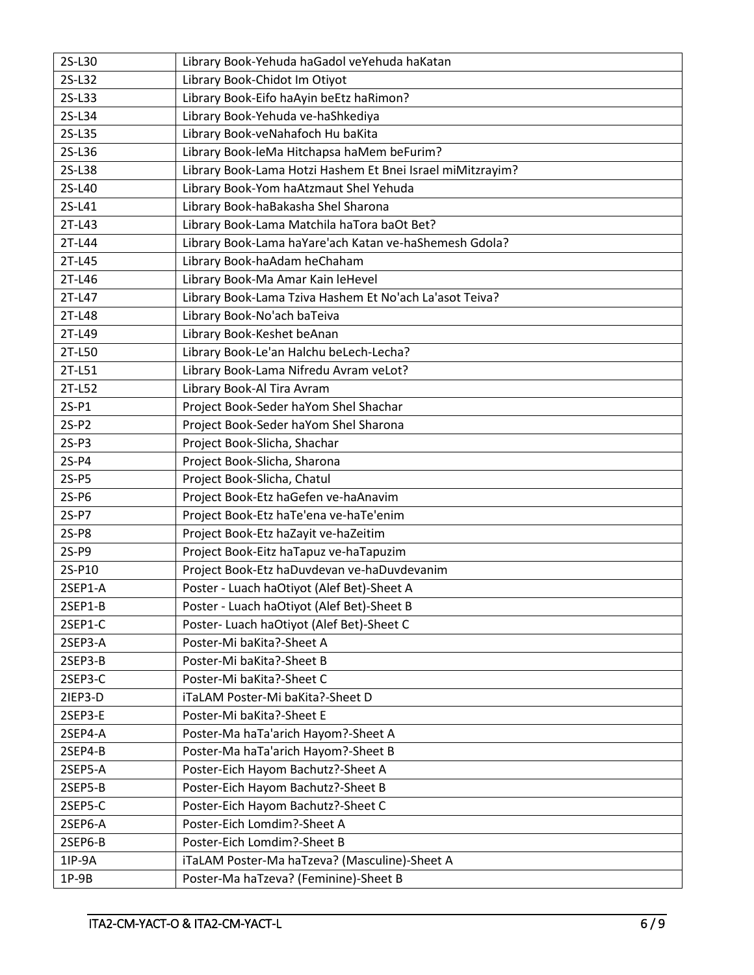| 2S-L30  | Library Book-Yehuda haGadol veYehuda haKatan               |  |  |
|---------|------------------------------------------------------------|--|--|
| 2S-L32  | Library Book-Chidot Im Otiyot                              |  |  |
| 2S-L33  | Library Book-Eifo haAyin beEtz haRimon?                    |  |  |
| 2S-L34  | Library Book-Yehuda ve-haShkediya                          |  |  |
| 2S-L35  | Library Book-veNahafoch Hu baKita                          |  |  |
| 2S-L36  | Library Book-leMa Hitchapsa haMem beFurim?                 |  |  |
| 2S-L38  | Library Book-Lama Hotzi Hashem Et Bnei Israel miMitzrayim? |  |  |
| 2S-L40  | Library Book-Yom haAtzmaut Shel Yehuda                     |  |  |
| 2S-L41  | Library Book-haBakasha Shel Sharona                        |  |  |
| 2T-L43  | Library Book-Lama Matchila haTora baOt Bet?                |  |  |
| 2T-L44  | Library Book-Lama haYare'ach Katan ve-haShemesh Gdola?     |  |  |
| 2T-L45  | Library Book-haAdam heChaham                               |  |  |
| 2T-L46  | Library Book-Ma Amar Kain leHevel                          |  |  |
| 2T-L47  | Library Book-Lama Tziva Hashem Et No'ach La'asot Teiva?    |  |  |
| 2T-L48  | Library Book-No'ach baTeiva                                |  |  |
| 2T-L49  | Library Book-Keshet beAnan                                 |  |  |
| 2T-L50  | Library Book-Le'an Halchu beLech-Lecha?                    |  |  |
| 2T-L51  | Library Book-Lama Nifredu Avram veLot?                     |  |  |
| 2T-L52  | Library Book-Al Tira Avram                                 |  |  |
| $2S-P1$ | Project Book-Seder haYom Shel Shachar                      |  |  |
| $2S-P2$ | Project Book-Seder haYom Shel Sharona                      |  |  |
| $2S-P3$ | Project Book-Slicha, Shachar                               |  |  |
| $2S-P4$ | Project Book-Slicha, Sharona                               |  |  |
| $2S-P5$ | Project Book-Slicha, Chatul                                |  |  |
| 2S-P6   | Project Book-Etz haGefen ve-haAnavim                       |  |  |
| 2S-P7   | Project Book-Etz haTe'ena ve-haTe'enim                     |  |  |
| 2S-P8   | Project Book-Etz haZayit ve-haZeitim                       |  |  |
| 2S-P9   | Project Book-Eitz haTapuz ve-haTapuzim                     |  |  |
| 2S-P10  | Project Book-Etz haDuvdevan ve-haDuvdevanim                |  |  |
| 2SEP1-A | Poster - Luach haOtiyot (Alef Bet)-Sheet A                 |  |  |
| 2SEP1-B | Poster - Luach haOtiyot (Alef Bet)-Sheet B                 |  |  |
| 2SEP1-C | Poster- Luach haOtiyot (Alef Bet)-Sheet C                  |  |  |
| 2SEP3-A | Poster-Mi baKita?-Sheet A                                  |  |  |
| 2SEP3-B | Poster-Mi baKita?-Sheet B                                  |  |  |
| 2SEP3-C | Poster-Mi baKita?-Sheet C                                  |  |  |
| 2IEP3-D | iTaLAM Poster-Mi baKita?-Sheet D                           |  |  |
| 2SEP3-E | Poster-Mi baKita?-Sheet E                                  |  |  |
| 2SEP4-A | Poster-Ma haTa'arich Hayom?-Sheet A                        |  |  |
| 2SEP4-B | Poster-Ma haTa'arich Hayom?-Sheet B                        |  |  |
| 2SEP5-A | Poster-Eich Hayom Bachutz?-Sheet A                         |  |  |
| 2SEP5-B | Poster-Eich Hayom Bachutz?-Sheet B                         |  |  |
| 2SEP5-C | Poster-Eich Hayom Bachutz?-Sheet C                         |  |  |
| 2SEP6-A | Poster-Eich Lomdim?-Sheet A                                |  |  |
| 2SEP6-B | Poster-Eich Lomdim?-Sheet B                                |  |  |
| 1IP-9A  | iTaLAM Poster-Ma haTzeva? (Masculine)-Sheet A              |  |  |
| $1P-9B$ | Poster-Ma haTzeva? (Feminine)-Sheet B                      |  |  |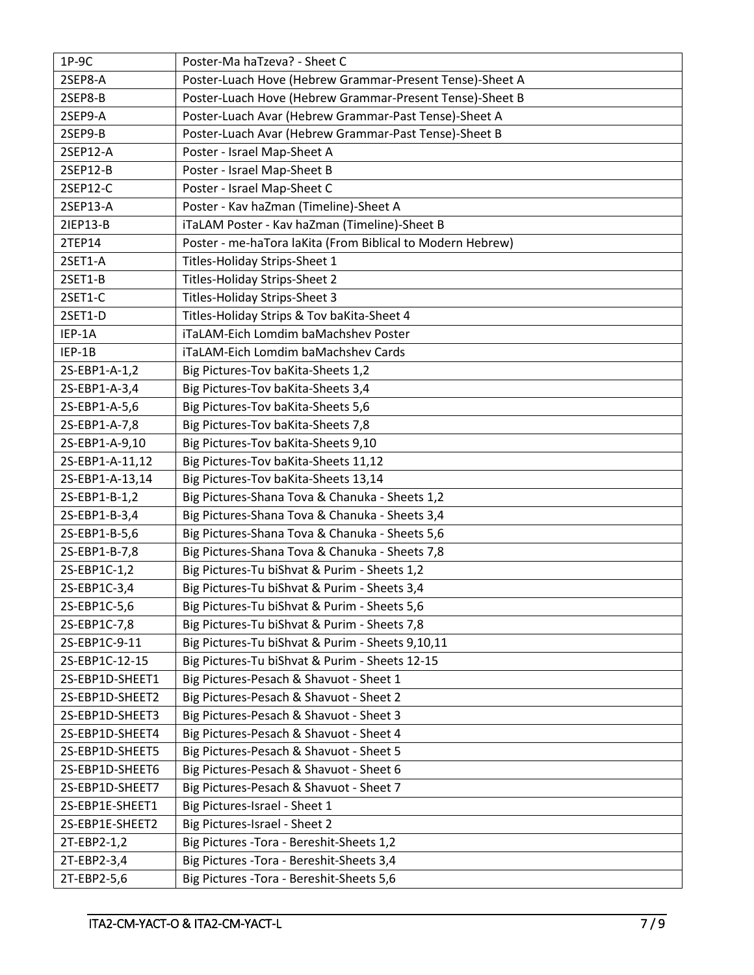| $1P-9C$         | Poster-Ma haTzeva? - Sheet C                               |  |  |
|-----------------|------------------------------------------------------------|--|--|
| 2SEP8-A         | Poster-Luach Hove (Hebrew Grammar-Present Tense)-Sheet A   |  |  |
| 2SEP8-B         | Poster-Luach Hove (Hebrew Grammar-Present Tense)-Sheet B   |  |  |
| 2SEP9-A         | Poster-Luach Avar (Hebrew Grammar-Past Tense)-Sheet A      |  |  |
| 2SEP9-B         | Poster-Luach Avar (Hebrew Grammar-Past Tense)-Sheet B      |  |  |
| 2SEP12-A        | Poster - Israel Map-Sheet A                                |  |  |
| 2SEP12-B        | Poster - Israel Map-Sheet B                                |  |  |
| 2SEP12-C        | Poster - Israel Map-Sheet C                                |  |  |
| 2SEP13-A        | Poster - Kav haZman (Timeline)-Sheet A                     |  |  |
| 21EP13-B        | iTaLAM Poster - Kav haZman (Timeline)-Sheet B              |  |  |
| 2TEP14          | Poster - me-haTora laKita (From Biblical to Modern Hebrew) |  |  |
| 2SET1-A         | Titles-Holiday Strips-Sheet 1                              |  |  |
| 2SET1-B         | Titles-Holiday Strips-Sheet 2                              |  |  |
| 2SET1-C         | Titles-Holiday Strips-Sheet 3                              |  |  |
| 2SET1-D         | Titles-Holiday Strips & Tov baKita-Sheet 4                 |  |  |
| IEP-1A          | iTaLAM-Eich Lomdim baMachshev Poster                       |  |  |
| IEP-1B          | iTaLAM-Eich Lomdim baMachshev Cards                        |  |  |
| 2S-EBP1-A-1,2   | Big Pictures-Tov baKita-Sheets 1,2                         |  |  |
| 2S-EBP1-A-3,4   | Big Pictures-Tov baKita-Sheets 3,4                         |  |  |
| 2S-EBP1-A-5,6   | Big Pictures-Tov baKita-Sheets 5,6                         |  |  |
| 2S-EBP1-A-7,8   | Big Pictures-Tov baKita-Sheets 7,8                         |  |  |
| 2S-EBP1-A-9,10  | Big Pictures-Tov baKita-Sheets 9,10                        |  |  |
| 2S-EBP1-A-11,12 | Big Pictures-Tov baKita-Sheets 11,12                       |  |  |
| 2S-EBP1-A-13,14 | Big Pictures-Tov baKita-Sheets 13,14                       |  |  |
| 2S-EBP1-B-1,2   | Big Pictures-Shana Tova & Chanuka - Sheets 1,2             |  |  |
| 2S-EBP1-B-3,4   | Big Pictures-Shana Tova & Chanuka - Sheets 3,4             |  |  |
| 2S-EBP1-B-5,6   | Big Pictures-Shana Tova & Chanuka - Sheets 5,6             |  |  |
| 2S-EBP1-B-7,8   | Big Pictures-Shana Tova & Chanuka - Sheets 7,8             |  |  |
| 2S-EBP1C-1,2    | Big Pictures-Tu biShvat & Purim - Sheets 1,2               |  |  |
| 2S-EBP1C-3,4    | Big Pictures-Tu biShvat & Purim - Sheets 3,4               |  |  |
| 2S-EBP1C-5,6    | Big Pictures-Tu biShvat & Purim - Sheets 5,6               |  |  |
| 2S-EBP1C-7,8    | Big Pictures-Tu biShvat & Purim - Sheets 7,8               |  |  |
| 2S-EBP1C-9-11   | Big Pictures-Tu biShvat & Purim - Sheets 9,10,11           |  |  |
| 2S-EBP1C-12-15  | Big Pictures-Tu biShvat & Purim - Sheets 12-15             |  |  |
| 2S-EBP1D-SHEET1 | Big Pictures-Pesach & Shavuot - Sheet 1                    |  |  |
| 2S-EBP1D-SHEET2 | Big Pictures-Pesach & Shavuot - Sheet 2                    |  |  |
| 2S-EBP1D-SHEET3 | Big Pictures-Pesach & Shavuot - Sheet 3                    |  |  |
| 2S-EBP1D-SHEET4 | Big Pictures-Pesach & Shavuot - Sheet 4                    |  |  |
| 2S-EBP1D-SHEET5 | Big Pictures-Pesach & Shavuot - Sheet 5                    |  |  |
| 2S-EBP1D-SHEET6 | Big Pictures-Pesach & Shavuot - Sheet 6                    |  |  |
| 2S-EBP1D-SHEET7 | Big Pictures-Pesach & Shavuot - Sheet 7                    |  |  |
| 2S-EBP1E-SHEET1 | Big Pictures-Israel - Sheet 1                              |  |  |
| 2S-EBP1E-SHEET2 | Big Pictures-Israel - Sheet 2                              |  |  |
| 2T-EBP2-1,2     | Big Pictures - Tora - Bereshit-Sheets 1,2                  |  |  |
| 2T-EBP2-3,4     | Big Pictures - Tora - Bereshit-Sheets 3,4                  |  |  |
| 2T-EBP2-5,6     | Big Pictures - Tora - Bereshit-Sheets 5,6                  |  |  |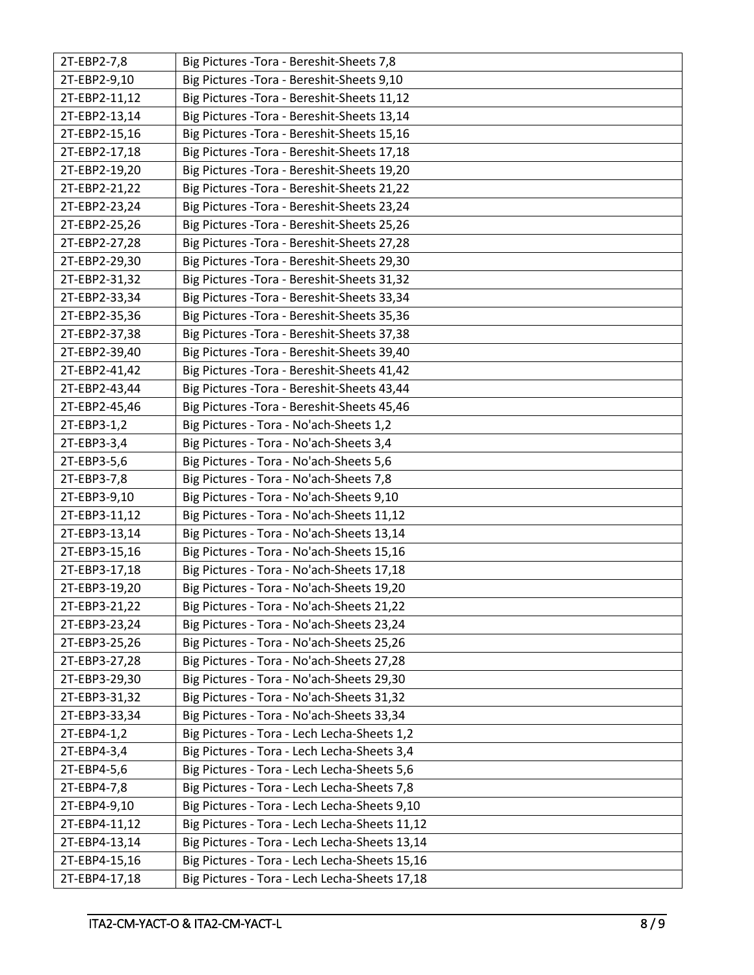| 2T-EBP2-7,8   | Big Pictures - Tora - Bereshit-Sheets 7,8     |
|---------------|-----------------------------------------------|
| 2T-EBP2-9,10  | Big Pictures - Tora - Bereshit-Sheets 9,10    |
| 2T-EBP2-11,12 | Big Pictures - Tora - Bereshit-Sheets 11,12   |
| 2T-EBP2-13,14 | Big Pictures - Tora - Bereshit-Sheets 13,14   |
| 2T-EBP2-15,16 | Big Pictures - Tora - Bereshit-Sheets 15,16   |
| 2T-EBP2-17,18 | Big Pictures - Tora - Bereshit-Sheets 17,18   |
| 2T-EBP2-19,20 | Big Pictures - Tora - Bereshit-Sheets 19,20   |
| 2T-EBP2-21,22 | Big Pictures - Tora - Bereshit-Sheets 21,22   |
| 2T-EBP2-23,24 | Big Pictures - Tora - Bereshit-Sheets 23,24   |
| 2T-EBP2-25,26 | Big Pictures - Tora - Bereshit-Sheets 25,26   |
| 2T-EBP2-27,28 | Big Pictures - Tora - Bereshit-Sheets 27,28   |
| 2T-EBP2-29,30 | Big Pictures - Tora - Bereshit-Sheets 29,30   |
| 2T-EBP2-31,32 | Big Pictures - Tora - Bereshit-Sheets 31,32   |
| 2T-EBP2-33,34 | Big Pictures - Tora - Bereshit-Sheets 33,34   |
| 2T-EBP2-35,36 | Big Pictures - Tora - Bereshit-Sheets 35,36   |
| 2T-EBP2-37,38 | Big Pictures - Tora - Bereshit-Sheets 37,38   |
| 2T-EBP2-39,40 | Big Pictures - Tora - Bereshit-Sheets 39,40   |
| 2T-EBP2-41,42 | Big Pictures - Tora - Bereshit-Sheets 41,42   |
| 2T-EBP2-43,44 | Big Pictures - Tora - Bereshit-Sheets 43,44   |
| 2T-EBP2-45,46 | Big Pictures - Tora - Bereshit-Sheets 45,46   |
| 2T-EBP3-1,2   | Big Pictures - Tora - No'ach-Sheets 1,2       |
| 2T-EBP3-3,4   | Big Pictures - Tora - No'ach-Sheets 3,4       |
| 2T-EBP3-5,6   | Big Pictures - Tora - No'ach-Sheets 5,6       |
| 2T-EBP3-7,8   | Big Pictures - Tora - No'ach-Sheets 7,8       |
| 2T-EBP3-9,10  | Big Pictures - Tora - No'ach-Sheets 9,10      |
| 2T-EBP3-11,12 | Big Pictures - Tora - No'ach-Sheets 11,12     |
| 2T-EBP3-13,14 | Big Pictures - Tora - No'ach-Sheets 13,14     |
| 2T-EBP3-15,16 | Big Pictures - Tora - No'ach-Sheets 15,16     |
| 2T-EBP3-17,18 | Big Pictures - Tora - No'ach-Sheets 17,18     |
| 2T-EBP3-19,20 | Big Pictures - Tora - No'ach-Sheets 19,20     |
| 2T-EBP3-21,22 | Big Pictures - Tora - No'ach-Sheets 21,22     |
| 2T-EBP3-23,24 | Big Pictures - Tora - No'ach-Sheets 23,24     |
| 2T-EBP3-25,26 | Big Pictures - Tora - No'ach-Sheets 25,26     |
| 2T-EBP3-27,28 | Big Pictures - Tora - No'ach-Sheets 27,28     |
| 2T-EBP3-29,30 | Big Pictures - Tora - No'ach-Sheets 29,30     |
| 2T-EBP3-31,32 | Big Pictures - Tora - No'ach-Sheets 31,32     |
| 2T-EBP3-33,34 | Big Pictures - Tora - No'ach-Sheets 33,34     |
| 2T-EBP4-1,2   | Big Pictures - Tora - Lech Lecha-Sheets 1,2   |
| 2T-EBP4-3,4   | Big Pictures - Tora - Lech Lecha-Sheets 3,4   |
| 2T-EBP4-5,6   | Big Pictures - Tora - Lech Lecha-Sheets 5,6   |
| 2T-EBP4-7,8   | Big Pictures - Tora - Lech Lecha-Sheets 7,8   |
| 2T-EBP4-9,10  | Big Pictures - Tora - Lech Lecha-Sheets 9,10  |
| 2T-EBP4-11,12 | Big Pictures - Tora - Lech Lecha-Sheets 11,12 |
| 2T-EBP4-13,14 | Big Pictures - Tora - Lech Lecha-Sheets 13,14 |
| 2T-EBP4-15,16 | Big Pictures - Tora - Lech Lecha-Sheets 15,16 |
| 2T-EBP4-17,18 | Big Pictures - Tora - Lech Lecha-Sheets 17,18 |